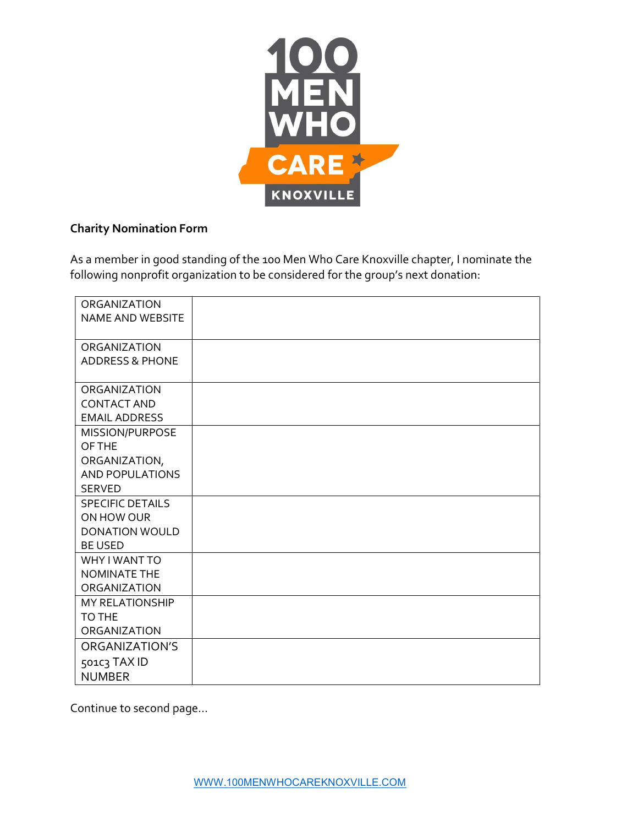

## Charity Nomination Form

As a member in good standing of the 100 Men Who Care Knoxville chapter, I nominate the following nonprofit organization to be considered for the group's next donation:

| <b>ORGANIZATION</b>        |  |
|----------------------------|--|
| <b>NAME AND WEBSITE</b>    |  |
|                            |  |
| <b>ORGANIZATION</b>        |  |
| <b>ADDRESS &amp; PHONE</b> |  |
|                            |  |
| <b>ORGANIZATION</b>        |  |
| <b>CONTACT AND</b>         |  |
| <b>EMAIL ADDRESS</b>       |  |
| MISSION/PURPOSE            |  |
| OF THE                     |  |
| ORGANIZATION,              |  |
| <b>AND POPULATIONS</b>     |  |
| <b>SERVED</b>              |  |
| <b>SPECIFIC DETAILS</b>    |  |
| ON HOW OUR                 |  |
| <b>DONATION WOULD</b>      |  |
| <b>BE USED</b>             |  |
| WHY I WANT TO              |  |
| <b>NOMINATE THE</b>        |  |
| ORGANIZATION               |  |
| <b>MY RELATIONSHIP</b>     |  |
| TO THE                     |  |
| ORGANIZATION               |  |
| ORGANIZATION'S             |  |
| 501C3 TAX ID               |  |
| <b>NUMBER</b>              |  |

Continue to second page…